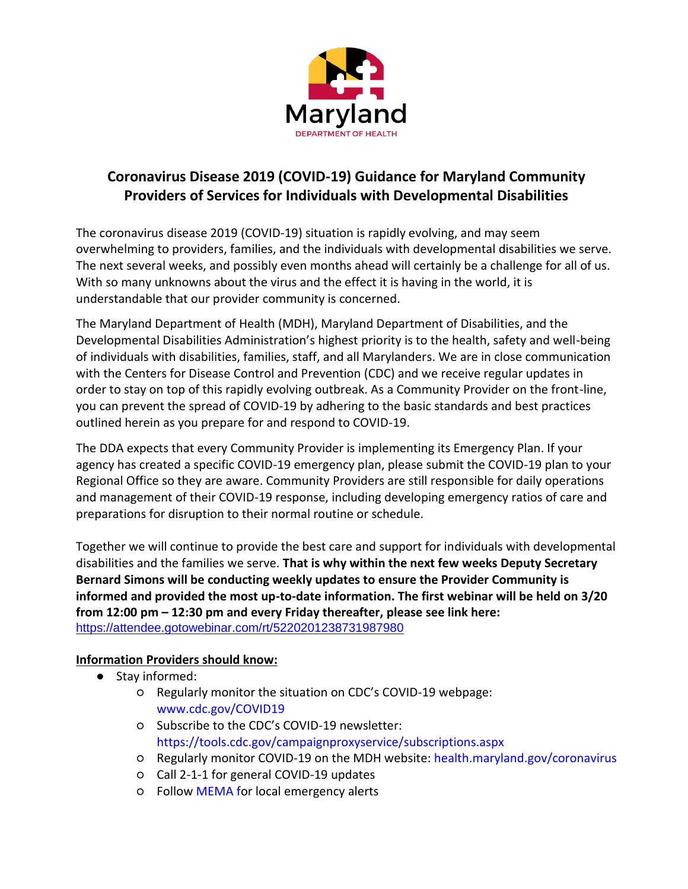

# **Coronavirus Disease 2019 (COVID-19) Guidance for Maryland Community Providers of Services for Individuals with Developmental Disabilities**

The coronavirus disease 2019 (COVID-19) situation is rapidly evolving, and may seem overwhelming to providers, families, and the individuals with developmental disabilities we serve. The next several weeks, and possibly even months ahead will certainly be a challenge for all of us. With so many unknowns about the virus and the effect it is having in the world, it is understandable that our provider community is concerned.

The Maryland Department of Health (MDH), Maryland Department of Disabilities, and the Developmental Disabilities Administration's highest priority is to the health, safety and well-being of individuals with disabilities, families, staff, and all Marylanders. We are in close communication with the Centers for Disease Control and Prevention (CDC) and we receive regular updates in order to stay on top of this rapidly evolving outbreak. As a Community Provider on the front-line, you can prevent the spread of COVID-19 by adhering to the basic standards and best practices outlined herein as you prepare for and respond to COVID-19.

The DDA expects that every Community Provider is implementing its Emergency Plan. If your agency has created a specific COVID-19 emergency plan, please submit the COVID-19 plan to your Regional Office so they are aware. Community Providers are still responsible for daily operations and management of their COVID-19 response, including developing emergency ratios of care and preparations for disruption to their normal routine or schedule.

Together we will continue to provide the best care and support for individuals with developmental disabilities and the families we serve. **That is why within the next few weeks Deputy Secretary Bernard Simons will be conducting weekly updates to ensure the Provider Community is informed and provided the most up-to-date information. The first webinar will be held on 3/20 from 12:00 pm – 12:30 pm and every Friday thereafter, please see link here:**  <https://attendee.gotowebinar.com/rt/5220201238731987980>

#### **Information Providers should know:**

- Stay informed:
	- Regularly monitor the situation on CDC's COVID-19 webpage: [www.cdc.gov/COVID19](http://www.cdc.gov/COVID19)
	- Subscribe to the CDC's COVID-19 newsletter: <https://tools.cdc.gov/campaignproxyservice/subscriptions.aspx>
	- Regularly monitor COVID-19 on the MDH website: [health.maryland.gov/coronavirus](http://health.maryland.gov/coronavirus)
	- Call 2-1-1 for general COVID-19 updates
	- Follow [MEMA f](https://mema.maryland.gov/Pages/default.aspx?fbclid=IwAR1Uaf_w_QI_50CU9LeO6ZFrjPBwDXnOyZ-ac8F3j2A3NtRoSrzgDU_rd1Q)or local emergency alerts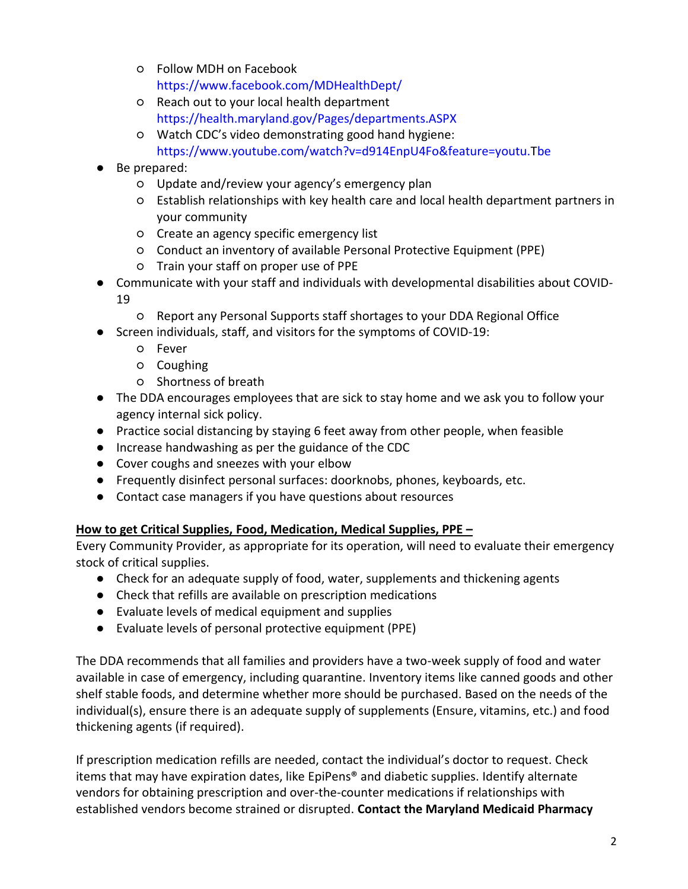- Follow MDH on Facebook https://www.facebook.com/MDHealthDept/
- Reach out to your local health department <https://health.maryland.gov/Pages/departments.ASPX>
- Watch CDC's video demonstrating good hand hygiene: [https://www.youtube.com/watch?v=d914EnpU4Fo&feature=youtu.Tbe](https://www.youtube.com/watch?v=d914EnpU4Fo&feature=youtu.be)
- Be prepared:
	- Update and/review your agency's emergency plan
	- Establish relationships with key health care and local health department partners in your community
	- Create an agency specific emergency list
	- Conduct an inventory of available Personal Protective Equipment (PPE)
	- Train your staff on proper use of PPE
- Communicate with your staff and individuals with developmental disabilities about COVID-19
	- Report any Personal Supports staff shortages to your DDA Regional Office
- Screen individuals, staff, and visitors for the symptoms of COVID-19:
	- Fever
	- Coughing
	- Shortness of breath
- The DDA encourages employees that are sick to stay home and we ask you to follow your agency internal sick policy.
- Practice social distancing by staying 6 feet away from other people, when feasible
- Increase handwashing as per the guidance of the CDC
- Cover coughs and sneezes with your elbow
- Frequently disinfect personal surfaces: doorknobs, phones, keyboards, etc.
- Contact case managers if you have questions about resources

#### **How to get Critical Supplies, Food, Medication, Medical Supplies, PPE –**

Every Community Provider, as appropriate for its operation, will need to evaluate their emergency stock of critical supplies.

- Check for an adequate supply of food, water, supplements and thickening agents
- Check that refills are available on prescription medications
- Evaluate levels of medical equipment and supplies
- Evaluate levels of personal protective equipment (PPE)

The DDA recommends that all families and providers have a two-week supply of food and water available in case of emergency, including quarantine. Inventory items like canned goods and other shelf stable foods, and determine whether more should be purchased. Based on the needs of the individual(s), ensure there is an adequate supply of supplements (Ensure, vitamins, etc.) and food thickening agents (if required).

If prescription medication refills are needed, contact the individual's doctor to request. Check items that may have expiration dates, like EpiPens® and diabetic supplies. Identify alternate vendors for obtaining prescription and over-the-counter medications if relationships with established vendors become strained or disrupted. **Contact the Maryland Medicaid Pharmacy**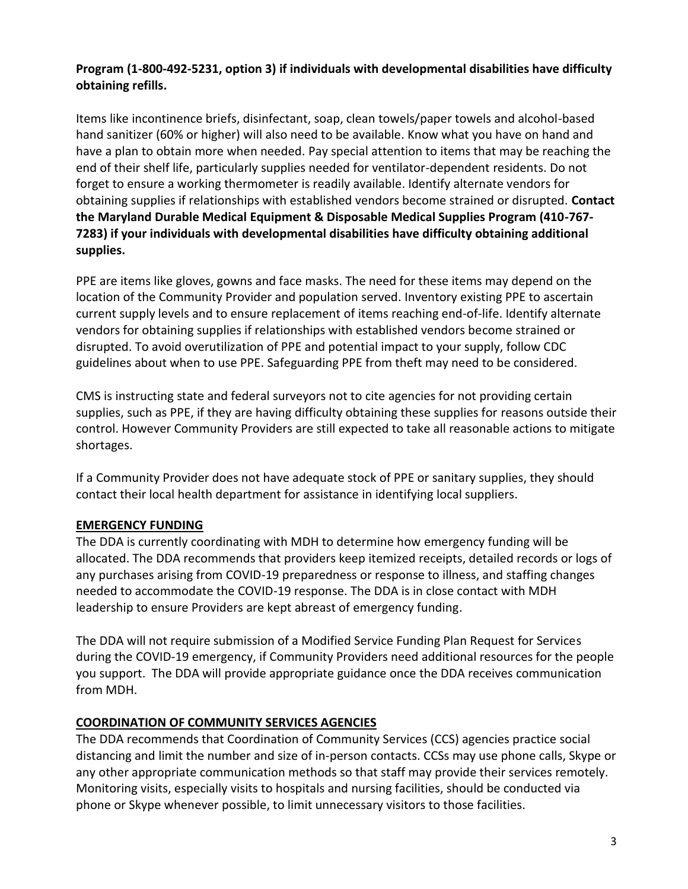#### **Program (1-800-492-5231, option 3) if individuals with developmental disabilities have difficulty obtaining refills.**

Items like incontinence briefs, disinfectant, soap, clean towels/paper towels and alcohol-based hand sanitizer (60% or higher) will also need to be available. Know what you have on hand and have a plan to obtain more when needed. Pay special attention to items that may be reaching the end of their shelf life, particularly supplies needed for ventilator-dependent residents. Do not forget to ensure a working thermometer is readily available. Identify alternate vendors for obtaining supplies if relationships with established vendors become strained or disrupted. **Contact the Maryland Durable Medical Equipment & Disposable Medical Supplies Program (410-767- 7283) if your individuals with developmental disabilities have difficulty obtaining additional supplies.** 

PPE are items like gloves, gowns and face masks. The need for these items may depend on the location of the Community Provider and population served. Inventory existing PPE to ascertain current supply levels and to ensure replacement of items reaching end-of-life. Identify alternate vendors for obtaining supplies if relationships with established vendors become strained or disrupted. To avoid overutilization of PPE and potential impact to your supply, follow CDC guidelines about when to use PPE. Safeguarding PPE from theft may need to be considered.

CMS is instructing state and federal surveyors not to cite agencies for not providing certain supplies, such as PPE, if they are having difficulty obtaining these supplies for reasons outside their control. However Community Providers are still expected to take all reasonable actions to mitigate shortages.

If a Community Provider does not have adequate stock of PPE or sanitary supplies, they should contact their local health department for assistance in identifying local suppliers.

## **EMERGENCY FUNDING**

The DDA is currently coordinating with MDH to determine how emergency funding will be allocated. The DDA recommends that providers keep itemized receipts, detailed records or logs of any purchases arising from COVID-19 preparedness or response to illness, and staffing changes needed to accommodate the COVID-19 response. The DDA is in close contact with MDH leadership to ensure Providers are kept abreast of emergency funding.

The DDA will not require submission of a Modified Service Funding Plan Request for Services during the COVID-19 emergency, if Community Providers need additional resources for the people you support. The DDA will provide appropriate guidance once the DDA receives communication from MDH.

#### **COORDINATION OF COMMUNITY SERVICES AGENCIES**

The DDA recommends that Coordination of Community Services (CCS) agencies practice social distancing and limit the number and size of in-person contacts. CCSs may use phone calls, Skype or any other appropriate communication methods so that staff may provide their services remotely. Monitoring visits, especially visits to hospitals and nursing facilities, should be conducted via phone or Skype whenever possible, to limit unnecessary visitors to those facilities.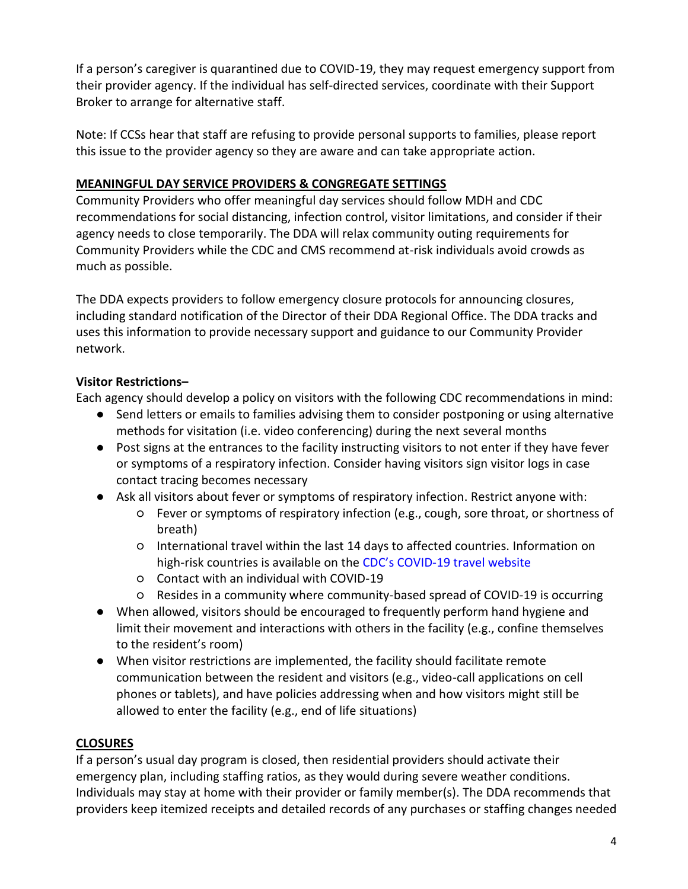If a person's caregiver is quarantined due to COVID-19, they may request emergency support from their provider agency. If the individual has self-directed services, coordinate with their Support Broker to arrange for alternative staff.

Note: If CCSs hear that staff are refusing to provide personal supports to families, please report this issue to the provider agency so they are aware and can take appropriate action.

## **MEANINGFUL DAY SERVICE PROVIDERS & CONGREGATE SETTINGS**

Community Providers who offer meaningful day services should follow MDH and CDC recommendations for social distancing, infection control, visitor limitations, and consider if their agency needs to close temporarily. The DDA will relax community outing requirements for Community Providers while the CDC and CMS recommend at-risk individuals avoid crowds as much as possible.

The DDA expects providers to follow emergency closure protocols for announcing closures, including standard notification of the Director of their DDA Regional Office. The DDA tracks and uses this information to provide necessary support and guidance to our Community Provider network.

## **Visitor Restrictions–**

Each agency should develop a policy on visitors with the following CDC recommendations in mind:

- Send letters or emails to families advising them to consider postponing or using alternative methods for visitation (i.e. video conferencing) during the next several months
- Post signs at the entrances to the facility instructing visitors to not enter if they have fever or symptoms of a respiratory infection. Consider having visitors sign visitor logs in case contact tracing becomes necessary
- Ask all visitors about fever or symptoms of respiratory infection. Restrict anyone with:
	- Fever or symptoms of respiratory infection (e.g., cough, sore throat, or shortness of breath)
	- International travel within the last 14 days to affected countries. Information on high-risk countries is available on the CDC's COVID[-19 travel website](https://www.cdc.gov/coronavirus/2019-ncov/travelers/index.html)
	- Contact with an individual with COVID-19
	- Resides in a community where community-based spread of COVID-19 is occurring
- When allowed, visitors should be encouraged to frequently perform hand hygiene and limit their movement and interactions with others in the facility (e.g., confine themselves to the resident's room)
- When visitor restrictions are implemented, the facility should facilitate remote communication between the resident and visitors (e.g., video-call applications on cell phones or tablets), and have policies addressing when and how visitors might still be allowed to enter the facility (e.g., end of life situations)

## **CLOSURES**

If a person's usual day program is closed, then residential providers should activate their emergency plan, including staffing ratios, as they would during severe weather conditions. Individuals may stay at home with their provider or family member(s). The DDA recommends that providers keep itemized receipts and detailed records of any purchases or staffing changes needed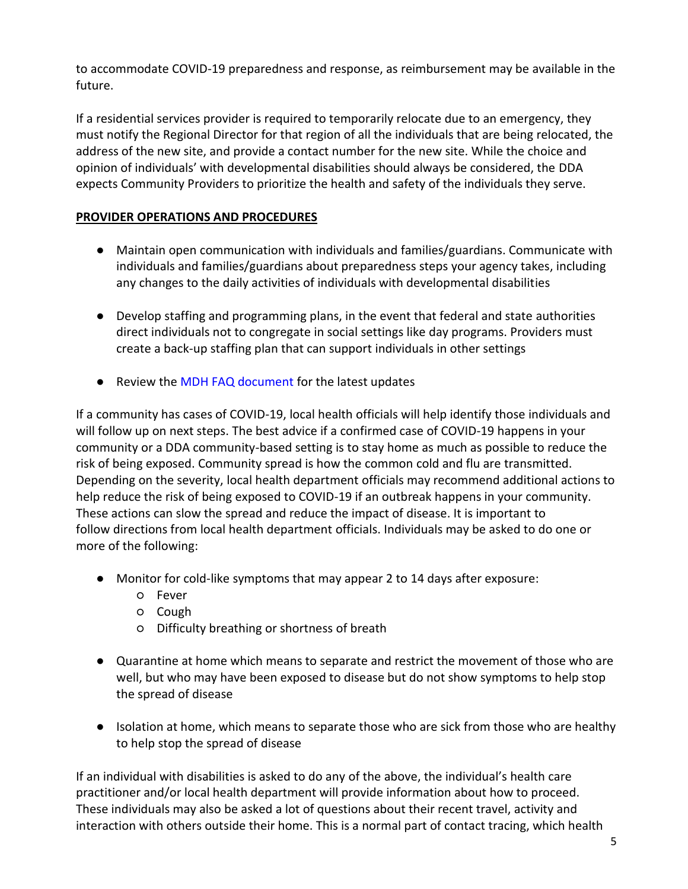to accommodate COVID-19 preparedness and response, as reimbursement may be available in the future.

If a residential services provider is required to temporarily relocate due to an emergency, they must notify the Regional Director for that region of all the individuals that are being relocated, the address of the new site, and provide a contact number for the new site. While the choice and opinion of individuals' with developmental disabilities should always be considered, the DDA expects Community Providers to prioritize the health and safety of the individuals they serve.

#### **PROVIDER OPERATIONS AND PROCEDURES**

- Maintain open communication with individuals and families/guardians. Communicate with individuals and families/guardians about preparedness steps your agency takes, including any changes to the daily activities of individuals with developmental disabilities
- Develop staffing and programming plans, in the event that federal and state authorities direct individuals not to congregate in social settings like day programs. Providers must create a back-up staffing plan that can support individuals in other settings
- Review the [MDH FAQ document](https://phpa.health.maryland.gov/Documents/coronavirus_FAQ.pdf) for the latest updates

If a community has cases of COVID-19, local health officials will help identify those individuals and will follow up on next steps. The best advice if a confirmed case of COVID-19 happens in your community or a DDA community-based setting is to stay home as much as possible to reduce the risk of being exposed. Community spread is how the common cold and flu are transmitted. Depending on the severity, local health department officials may recommend additional actions to help reduce the risk of being exposed to COVID-19 if an outbreak happens in your community. These actions can slow the spread and reduce the impact of disease. It is important to follow directions from local health department officials. Individuals may be asked to do one or more of the following:

- Monitor for cold-like symptoms that may appear 2 to 14 days after exposure:
	- Fever
	- Cough
	- Difficulty breathing or shortness of breath
- Quarantine at home which means to separate and restrict the movement of those who are well, but who may have been exposed to disease but do not show symptoms to help stop the spread of disease
- Isolation at home, which means to separate those who are sick from those who are healthy to help stop the spread of disease

If an individual with disabilities is asked to do any of the above, the individual's health care practitioner and/or local health department will provide information about how to proceed. These individuals may also be asked a lot of questions about their recent travel, activity and interaction with others outside their home. This is a normal part of contact tracing, which health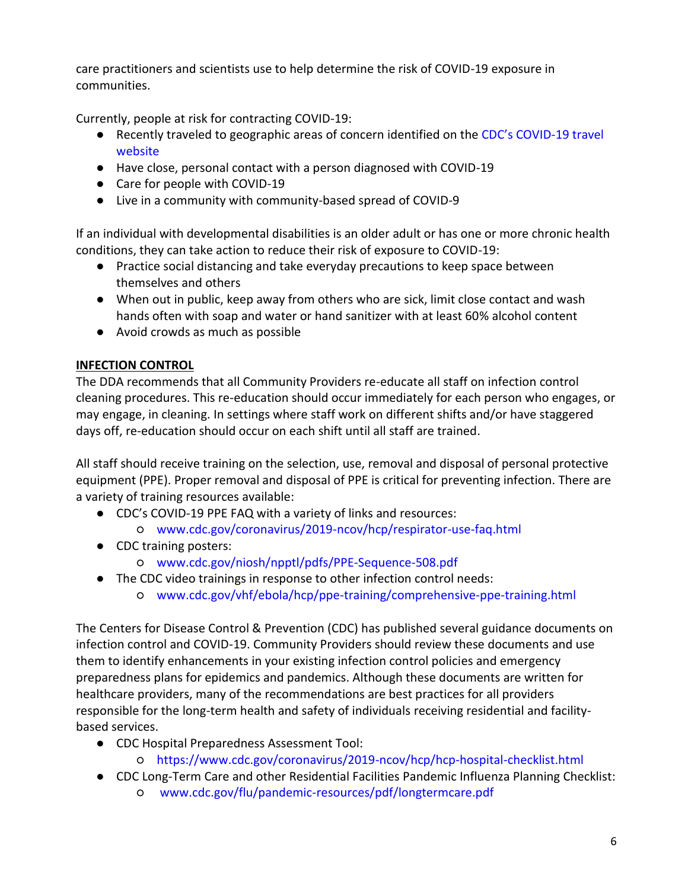care practitioners and scientists use to help determine the risk of COVID-19 exposure in communities.

Currently, people at risk for contracting COVID-19:

- Recently traveled to geographic areas of concern identified on the [CDC's COVID](https://www.cdc.gov/coronavirus/2019-ncov/travelers/index.html)-19 travel [website](https://www.cdc.gov/coronavirus/2019-ncov/travelers/index.html)
- Have close, personal contact with a person diagnosed with COVID-19
- Care for people with COVID-19
- Live in a community with community-based spread of COVID-9

If an individual with developmental disabilities is an older adult or has one or more chronic health conditions, they can take action to reduce their risk of exposure to COVID-19:

- Practice social distancing and take everyday precautions to keep space between themselves and others
- When out in public, keep away from others who are sick, limit close contact and wash hands often with soap and water or hand sanitizer with at least 60% alcohol content
- Avoid crowds as much as possible

#### **INFECTION CONTROL**

The DDA recommends that all Community Providers re-educate all staff on infection control cleaning procedures. This re-education should occur immediately for each person who engages, or may engage, in cleaning. In settings where staff work on different shifts and/or have staggered days off, re-education should occur on each shift until all staff are trained.

All staff should receive training on the selection, use, removal and disposal of personal protective equipment (PPE). Proper removal and disposal of PPE is critical for preventing infection. There are a variety of training resources available:

- CDC's COVID-19 PPE FAQ with a variety of links and resources:
	- [www.cdc.gov/coronavirus/2019-ncov/hcp/respirator-use-faq.html](http://www.cdc.gov/coronavirus/2019-ncov/hcp/respirator-use-faq.html)
- CDC training posters:
	- [www.cdc.gov/niosh/npptl/pdfs/PPE-Sequence-508.pdf](http://www.cdc.gov/niosh/npptl/pdfs/PPE-Sequence-508.pdf)
- The CDC video trainings in response to other infection control needs:
	- [www.cdc.gov/vhf/ebola/hcp/ppe-training/comprehensive-ppe-training.html](http://www.cdc.gov/vhf/ebola/hcp/ppe-training/comprehensive-ppe-training.html)

The Centers for Disease Control & Prevention (CDC) has published several guidance documents on infection control and COVID-19. Community Providers should review these documents and use them to identify enhancements in your existing infection control policies and emergency preparedness plans for epidemics and pandemics. Although these documents are written for healthcare providers, many of the recommendations are best practices for all providers responsible for the long-term health and safety of individuals receiving residential and facilitybased services.

- CDC Hospital Preparedness Assessment Tool:
	- <https://www.cdc.gov/coronavirus/2019-ncov/hcp/hcp-hospital-checklist.html>
- CDC Long-Term Care and other Residential Facilities Pandemic Influenza Planning Checklist:
	- [www.cdc.gov/flu/pandemic-resources/pdf/longtermcare.pdf](http://www.cdc.gov/flu/pandemic-resources/pdf/longtermcare.pdf)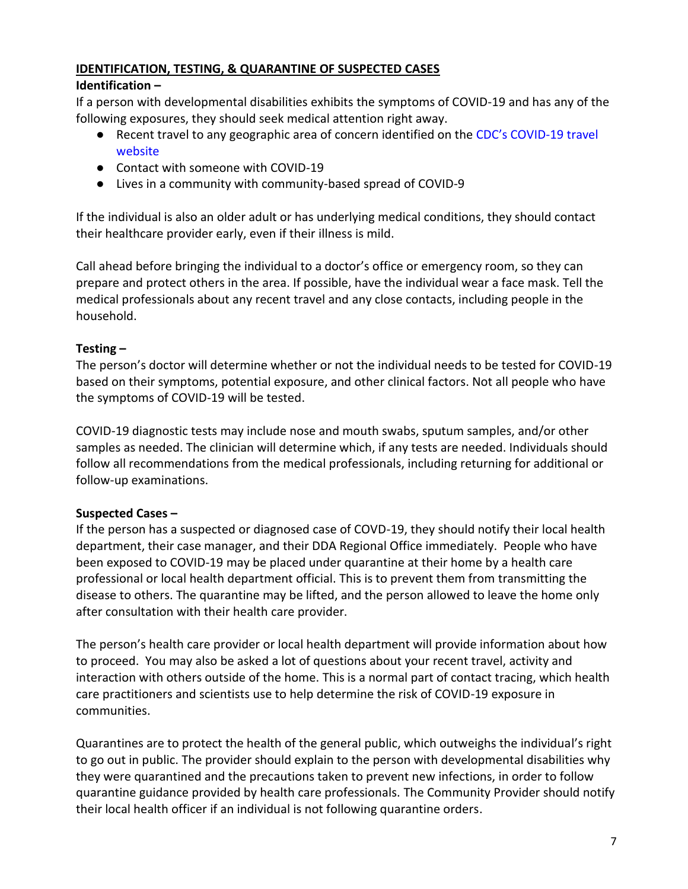## **IDENTIFICATION, TESTING, & QUARANTINE OF SUSPECTED CASES**

## **Identification –**

If a person with developmental disabilities exhibits the symptoms of COVID-19 and has any of the following exposures, they should seek medical attention right away.

- Recent travel to any geographic area of concern identified on the [CDC's COVID](https://www.cdc.gov/coronavirus/2019-ncov/travelers/index.html)-19 travel [website](https://www.cdc.gov/coronavirus/2019-ncov/travelers/index.html)
- Contact with someone with COVID-19
- Lives in a community with community-based spread of COVID-9

If the individual is also an older adult or has underlying medical conditions, they should contact their healthcare provider early, even if their illness is mild.

Call ahead before bringing the individual to a doctor's office or emergency room, so they can prepare and protect others in the area. If possible, have the individual wear a face mask. Tell the medical professionals about any recent travel and any close contacts, including people in the household.

## **Testing –**

The person's doctor will determine whether or not the individual needs to be tested for COVID-19 based on their symptoms, potential exposure, and other clinical factors. Not all people who have the symptoms of COVID-19 will be tested.

COVID-19 diagnostic tests may include nose and mouth swabs, sputum samples, and/or other samples as needed. The clinician will determine which, if any tests are needed. Individuals should follow all recommendations from the medical professionals, including returning for additional or follow-up examinations.

# **Suspected Cases –**

If the person has a suspected or diagnosed case of COVD-19, they should notify their local health department, their case manager, and their DDA Regional Office immediately. People who have been exposed to COVID-19 may be placed under quarantine at their home by a health care professional or local health department official. This is to prevent them from transmitting the disease to others. The quarantine may be lifted, and the person allowed to leave the home only after consultation with their health care provider.

The person's health care provider or local health department will provide information about how to proceed. You may also be asked a lot of questions about your recent travel, activity and interaction with others outside of the home. This is a normal part of contact tracing, which health care practitioners and scientists use to help determine the risk of COVID-19 exposure in communities.

Quarantines are to protect the health of the general public, which outweighs the individual's right to go out in public. The provider should explain to the person with developmental disabilities why they were quarantined and the precautions taken to prevent new infections, in order to follow quarantine guidance provided by health care professionals. The Community Provider should notify their local health officer if an individual is not following quarantine orders.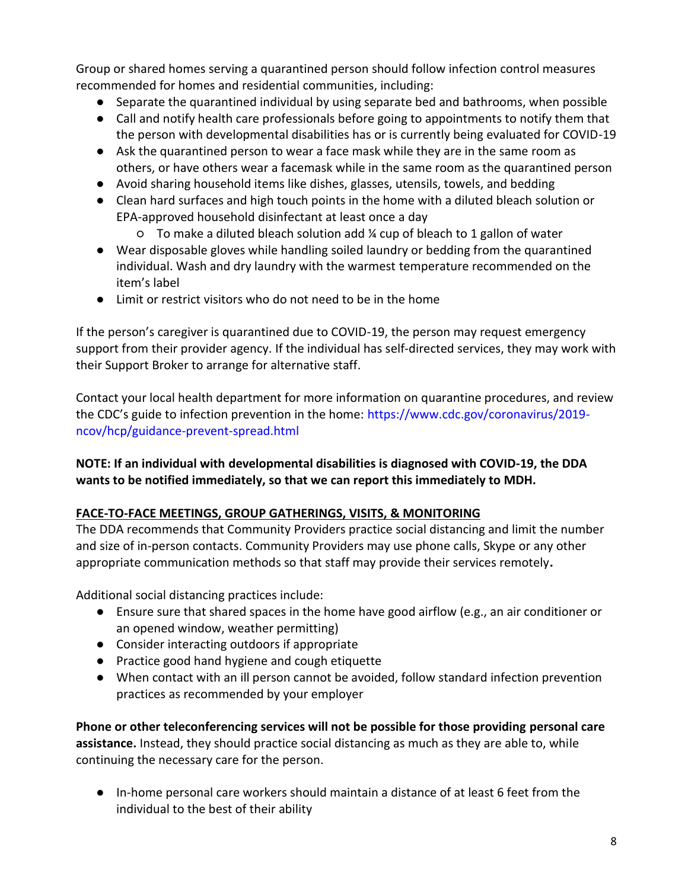Group or shared homes serving a quarantined person should follow infection control measures recommended for homes and residential communities, including:

- Separate the quarantined individual by using separate bed and bathrooms, when possible
- Call and notify health care professionals before going to appointments to notify them that the person with developmental disabilities has or is currently being evaluated for COVID-19
- Ask the quarantined person to wear a face mask while they are in the same room as others, or have others wear a facemask while in the same room as the quarantined person
- Avoid sharing household items like dishes, glasses, utensils, towels, and bedding
- Clean hard surfaces and high touch points in the home with a diluted bleach solution or EPA-approved household disinfectant at least once a day
	- $\circ$  To make a diluted bleach solution add  $\frac{1}{4}$  cup of bleach to 1 gallon of water
- Wear disposable gloves while handling soiled laundry or bedding from the quarantined individual. Wash and dry laundry with the warmest temperature recommended on the item's label
- Limit or restrict visitors who do not need to be in the home

If the person's caregiver is quarantined due to COVID-19, the person may request emergency support from their provider agency. If the individual has self-directed services, they may work with their Support Broker to arrange for alternative staff.

Contact your local health department for more information on quarantine procedures, and review the CDC's guide to infection prevention in the home: [https://www.cdc.gov/coronavirus/2019](https://www.cdc.gov/coronavirus/2019-ncov/hcp/guidance-prevent-spread.html) [ncov/hcp/guidance-prevent-spread.html](https://www.cdc.gov/coronavirus/2019-ncov/hcp/guidance-prevent-spread.html)

## **NOTE: If an individual with developmental disabilities is diagnosed with COVID-19, the DDA wants to be notified immediately, so that we can report this immediately to MDH.**

## **FACE-TO-FACE MEETINGS, GROUP GATHERINGS, VISITS, & MONITORING**

The DDA recommends that Community Providers practice social distancing and limit the number and size of in-person contacts. Community Providers may use phone calls, Skype or any other appropriate communication methods so that staff may provide their services remotely**.** 

Additional social distancing practices include:

- Ensure sure that shared spaces in the home have good airflow (e.g., an air conditioner or an opened window, weather permitting)
- Consider interacting outdoors if appropriate
- Practice good hand hygiene and cough etiquette
- When contact with an ill person cannot be avoided, follow standard infection prevention practices as recommended by your employer

**Phone or other teleconferencing services will not be possible for those providing personal care assistance.** Instead, they should practice social distancing as much as they are able to, while continuing the necessary care for the person.

● In-home personal care workers should maintain a distance of at least 6 feet from the individual to the best of their ability